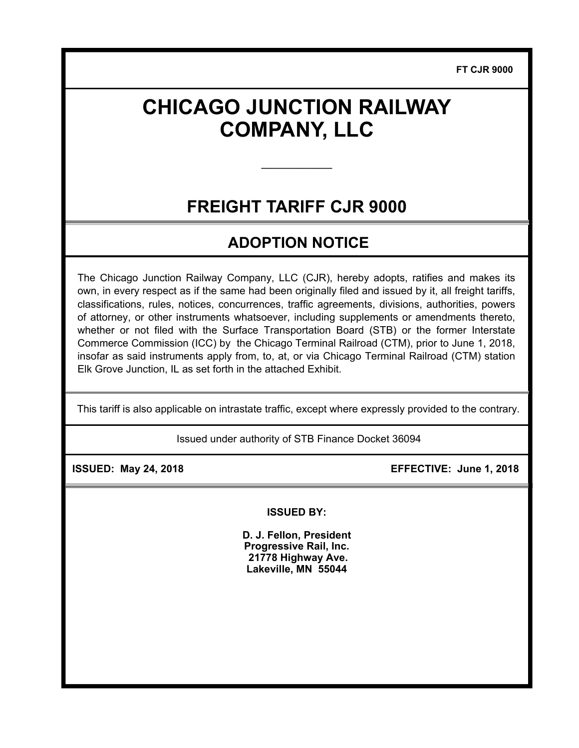**FT CJR 9000**

# **CHICAGO JUNCTION RAILWAY COMPANY, LLC**

## **FREIGHT TARIFF CJR 9000**

**\_\_\_\_\_\_\_\_\_\_\_\_\_\_\_** 

### **ADOPTION NOTICE**

The Chicago Junction Railway Company, LLC (CJR), hereby adopts, ratifies and makes its own, in every respect as if the same had been originally filed and issued by it, all freight tariffs, classifications, rules, notices, concurrences, traffic agreements, divisions, authorities, powers of attorney, or other instruments whatsoever, including supplements or amendments thereto, whether or not filed with the Surface Transportation Board (STB) or the former Interstate Commerce Commission (ICC) by the Chicago Terminal Railroad (CTM), prior to June 1, 2018, insofar as said instruments apply from, to, at, or via Chicago Terminal Railroad (CTM) station Elk Grove Junction, IL as set forth in the attached Exhibit.

This tariff is also applicable on intrastate traffic, except where expressly provided to the contrary.

Issued under authority of STB Finance Docket 36094

 **ISSUED: May 24, 2018 EFFECTIVE: June 1, 2018** 

**ISSUED BY:** 

**D. J. Fellon, President Progressive Rail, Inc. 21778 Highway Ave. Lakeville, MN 55044**